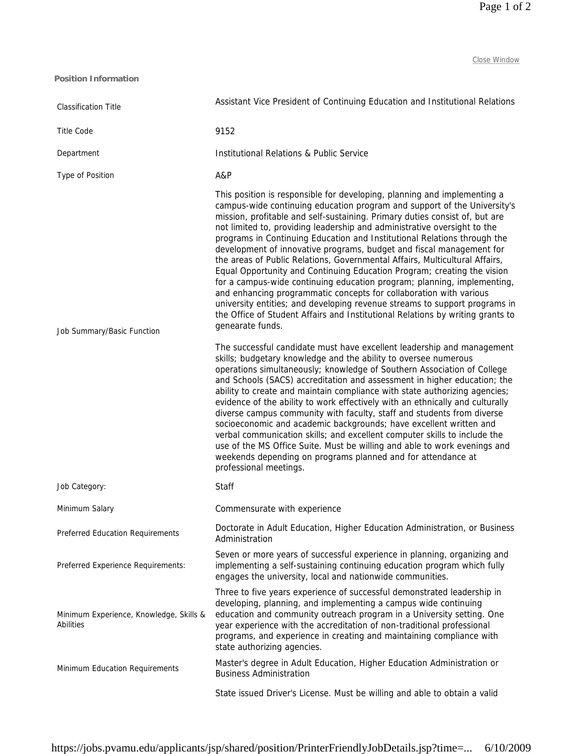Close Window

| <b>Position Information</b>                                 |                                                                                                                                                                                                                                                                                                                                                                                                                                                                                                                                                                                                                                                                                                                                                                                                                                                                                                                                                                                                                                                                                                                                                                                                                                                                                                                                                                                                                                                                                                                                                                                                                                                                                                                                                                                                                                           |
|-------------------------------------------------------------|-------------------------------------------------------------------------------------------------------------------------------------------------------------------------------------------------------------------------------------------------------------------------------------------------------------------------------------------------------------------------------------------------------------------------------------------------------------------------------------------------------------------------------------------------------------------------------------------------------------------------------------------------------------------------------------------------------------------------------------------------------------------------------------------------------------------------------------------------------------------------------------------------------------------------------------------------------------------------------------------------------------------------------------------------------------------------------------------------------------------------------------------------------------------------------------------------------------------------------------------------------------------------------------------------------------------------------------------------------------------------------------------------------------------------------------------------------------------------------------------------------------------------------------------------------------------------------------------------------------------------------------------------------------------------------------------------------------------------------------------------------------------------------------------------------------------------------------------|
| <b>Classification Title</b>                                 | Assistant Vice President of Continuing Education and Institutional Relations                                                                                                                                                                                                                                                                                                                                                                                                                                                                                                                                                                                                                                                                                                                                                                                                                                                                                                                                                                                                                                                                                                                                                                                                                                                                                                                                                                                                                                                                                                                                                                                                                                                                                                                                                              |
| <b>Title Code</b>                                           | 9152                                                                                                                                                                                                                                                                                                                                                                                                                                                                                                                                                                                                                                                                                                                                                                                                                                                                                                                                                                                                                                                                                                                                                                                                                                                                                                                                                                                                                                                                                                                                                                                                                                                                                                                                                                                                                                      |
| Department                                                  | Institutional Relations & Public Service                                                                                                                                                                                                                                                                                                                                                                                                                                                                                                                                                                                                                                                                                                                                                                                                                                                                                                                                                                                                                                                                                                                                                                                                                                                                                                                                                                                                                                                                                                                                                                                                                                                                                                                                                                                                  |
| Type of Position                                            | A&P                                                                                                                                                                                                                                                                                                                                                                                                                                                                                                                                                                                                                                                                                                                                                                                                                                                                                                                                                                                                                                                                                                                                                                                                                                                                                                                                                                                                                                                                                                                                                                                                                                                                                                                                                                                                                                       |
| Job Summary/Basic Function                                  | This position is responsible for developing, planning and implementing a<br>campus-wide continuing education program and support of the University's<br>mission, profitable and self-sustaining. Primary duties consist of, but are<br>not limited to, providing leadership and administrative oversight to the<br>programs in Continuing Education and Institutional Relations through the<br>development of innovative programs, budget and fiscal management for<br>the areas of Public Relations, Governmental Affairs, Multicultural Affairs,<br>Equal Opportunity and Continuing Education Program; creating the vision<br>for a campus-wide continuing education program; planning, implementing,<br>and enhancing programmatic concepts for collaboration with various<br>university entities; and developing revenue streams to support programs in<br>the Office of Student Affairs and Institutional Relations by writing grants to<br>genearate funds.<br>The successful candidate must have excellent leadership and management<br>skills; budgetary knowledge and the ability to oversee numerous<br>operations simultaneously; knowledge of Southern Association of College<br>and Schools (SACS) accreditation and assessment in higher education; the<br>ability to create and maintain compliance with state authorizing agencies;<br>evidence of the ability to work effectively with an ethnically and culturally<br>diverse campus community with faculty, staff and students from diverse<br>socioeconomic and academic backgrounds; have excellent written and<br>verbal communication skills; and excellent computer skills to include the<br>use of the MS Office Suite. Must be willing and able to work evenings and<br>weekends depending on programs planned and for attendance at<br>professional meetings. |
| Job Category:                                               | Staff                                                                                                                                                                                                                                                                                                                                                                                                                                                                                                                                                                                                                                                                                                                                                                                                                                                                                                                                                                                                                                                                                                                                                                                                                                                                                                                                                                                                                                                                                                                                                                                                                                                                                                                                                                                                                                     |
| Minimum Salary                                              | Commensurate with experience                                                                                                                                                                                                                                                                                                                                                                                                                                                                                                                                                                                                                                                                                                                                                                                                                                                                                                                                                                                                                                                                                                                                                                                                                                                                                                                                                                                                                                                                                                                                                                                                                                                                                                                                                                                                              |
| Preferred Education Requirements                            | Doctorate in Adult Education, Higher Education Administration, or Business<br>Administration                                                                                                                                                                                                                                                                                                                                                                                                                                                                                                                                                                                                                                                                                                                                                                                                                                                                                                                                                                                                                                                                                                                                                                                                                                                                                                                                                                                                                                                                                                                                                                                                                                                                                                                                              |
| Preferred Experience Requirements:                          | Seven or more years of successful experience in planning, organizing and<br>implementing a self-sustaining continuing education program which fully<br>engages the university, local and nationwide communities.                                                                                                                                                                                                                                                                                                                                                                                                                                                                                                                                                                                                                                                                                                                                                                                                                                                                                                                                                                                                                                                                                                                                                                                                                                                                                                                                                                                                                                                                                                                                                                                                                          |
| Minimum Experience, Knowledge, Skills &<br><b>Abilities</b> | Three to five years experience of successful demonstrated leadership in<br>developing, planning, and implementing a campus wide continuing<br>education and community outreach program in a University setting. One<br>year experience with the accreditation of non-traditional professional<br>programs, and experience in creating and maintaining compliance with<br>state authorizing agencies.                                                                                                                                                                                                                                                                                                                                                                                                                                                                                                                                                                                                                                                                                                                                                                                                                                                                                                                                                                                                                                                                                                                                                                                                                                                                                                                                                                                                                                      |
| Minimum Education Requirements                              | Master's degree in Adult Education, Higher Education Administration or<br><b>Business Administration</b>                                                                                                                                                                                                                                                                                                                                                                                                                                                                                                                                                                                                                                                                                                                                                                                                                                                                                                                                                                                                                                                                                                                                                                                                                                                                                                                                                                                                                                                                                                                                                                                                                                                                                                                                  |
|                                                             | State issued Driver's License. Must be willing and able to obtain a valid                                                                                                                                                                                                                                                                                                                                                                                                                                                                                                                                                                                                                                                                                                                                                                                                                                                                                                                                                                                                                                                                                                                                                                                                                                                                                                                                                                                                                                                                                                                                                                                                                                                                                                                                                                 |